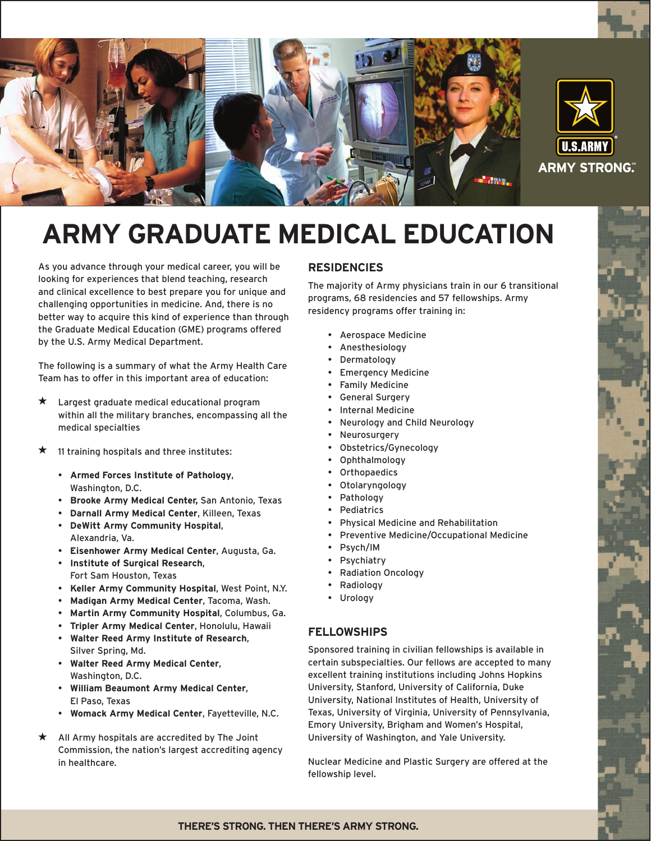

# **Army Graduate Medical Education**

As you advance through your medical career, you will be looking for experiences that blend teaching, research and clinical excellence to best prepare you for unique and challenging opportunities in medicine. And, there is no better way to acquire this kind of experience than through the Graduate Medical Education (GME) programs offered by the U.S. Army Medical Department.

The following is a summary of what the Army Health Care Team has to offer in this important area of education:

- $\star$ Largest graduate medical educational program within all the military branches, encompassing all the medical specialties
- 11 training hospitals and three institutes:
	- **Armed Forces Institute of Pathology**, Washington, D.C.
	- **Brooke Army Medical Center,** San Antonio, Texas
	- **Darnall Army Medical Center**, Killeen, Texas
	- **DeWitt Army Community Hospital**, Alexandria, Va.
	- **Eisenhower Army Medical Center**, Augusta, Ga.
	- **Institute of Surgical Research**, Fort Sam Houston, Texas
	- **Keller Army Community Hospital**, West Point, N.Y.
	- **Madigan Army Medical Center**, Tacoma, Wash.
	- **Martin Army Community Hospital**, Columbus, Ga.
	- **Tripler Army Medical Center**, Honolulu, Hawaii
	- **Walter Reed Army Institute of Research**, Silver Spring, Md.
	- **Walter Reed Army Medical Center**, Washington, D.C.
	- **William Beaumont Army Medical Center**, El Paso, Texas
	- **Womack Army Medical Center**, Fayetteville, N.C.
- All Army hospitals are accredited by The Joint Commission, the nation's largest accrediting agency in healthcare.

## **Residencies**

The majority of Army physicians train in our 6 transitional programs, 68 residencies and 57 fellowships. Army residency programs offer training in:

- Aerospace Medicine
- Anesthesiology
- Dermatology
- Emergency Medicine
- Family Medicine
- General Surgery
- **Internal Medicine**
- Neurology and Child Neurology
- **Neurosurgery**
- Obstetrics/Gynecology
- Ophthalmology
- **Orthopaedics**
- Otolaryngology
- Pathology
- **Pediatrics**
- Physical Medicine and Rehabilitation
- Preventive Medicine/Occupational Medicine
- Psych/IM
- **Psychiatry**
- Radiation Oncology
- Radiology
- Urology

## **Fellowships**

Sponsored training in civilian fellowships is available in certain subspecialties. Our fellows are accepted to many excellent training institutions including Johns Hopkins University, Stanford, University of California, Duke University, National Institutes of Health, University of Texas, University of Virginia, University of Pennsylvania, Emory University, Brigham and Women's Hospital, University of Washington, and Yale University.

Nuclear Medicine and Plastic Surgery are offered at the fellowship level.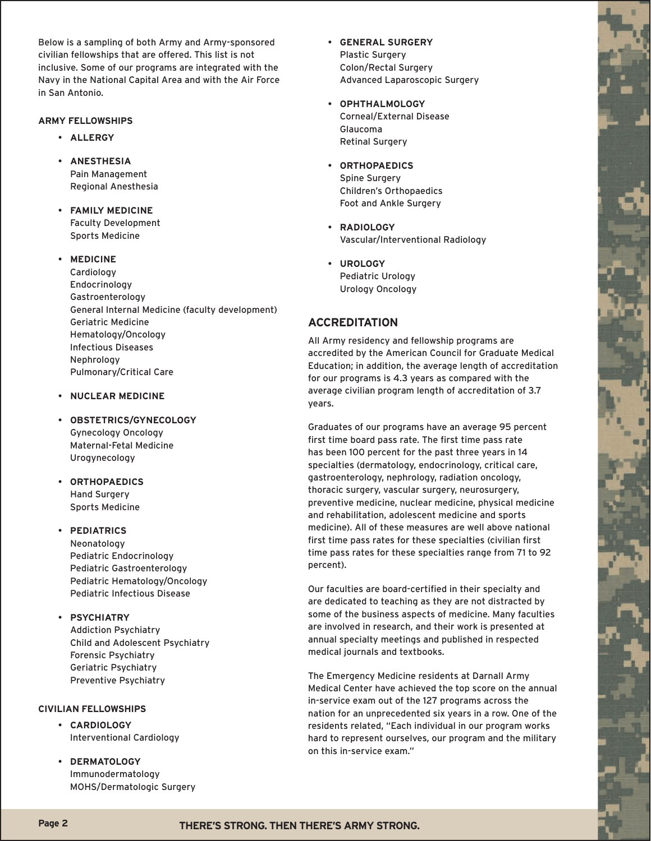Below is a sampling of both Army and Army-sponsored civilian fellowships that are offered. This list is not inclusive. Some of our programs are integrated with the Navy in the National Capital Area and with the Air Force in San Antonio.

#### **Army Fellowships**

- **Allergy**
- **Anesthesia** Pain Management Regional Anesthesia
- **Family Medicine** Faculty Development Sports Medicine
- **Medicine**

**Cardiology** Endocrinology Gastroenterology General Internal Medicine (faculty development) Geriatric Medicine Hematology/Oncology Infectious Diseases Nephrology Pulmonary/Critical Care

- **Nuclear Medicine**
- **Obstetrics/Gynecology** Gynecology Oncology Maternal-Fetal Medicine **Urogynecology**
- **Orthopaedics** Hand Surgery Sports Medicine

### • **Pediatrics**

Neonatology Pediatric Endocrinology Pediatric Gastroenterology Pediatric Hematology/Oncology Pediatric Infectious Disease

#### • **Psychiatry**

Addiction Psychiatry Child and Adolescent Psychiatry Forensic Psychiatry Geriatric Psychiatry Preventive Psychiatry

#### **Civilian Fellowships**

- **Cardiology** Interventional Cardiology
- **Dermatology** Immunodermatology MOHS/Dermatologic Surgery
- **General Surgery** Plastic Surgery Colon/Rectal Surgery Advanced Laparoscopic Surgery
- **Ophthalmology** Corneal/External Disease Glaucoma Retinal Surgery
- **Orthopaedics** Spine Surgery Children's Orthopaedics Foot and Ankle Surgery
- **Radiology** Vascular/Interventional Radiology
- **Urology** Pediatric Urology Urology Oncology

## **Accreditation**

All Army residency and fellowship programs are accredited by the American Council for Graduate Medical Education; in addition, the average length of accreditation for our programs is 4.3 years as compared with the average civilian program length of accreditation of 3.7 years.

Graduates of our programs have an average 95 percent first time board pass rate. The first time pass rate has been 100 percent for the past three years in 14 specialties (dermatology, endocrinology, critical care, gastroenterology, nephrology, radiation oncology, thoracic surgery, vascular surgery, neurosurgery, preventive medicine, nuclear medicine, physical medicine and rehabilitation, adolescent medicine and sports medicine). All of these measures are well above national first time pass rates for these specialties (civilian first time pass rates for these specialties range from 71 to 92 percent).

Our faculties are board-certified in their specialty and are dedicated to teaching as they are not distracted by some of the business aspects of medicine. Many faculties are involved in research, and their work is presented at annual specialty meetings and published in respected medical journals and textbooks.

The Emergency Medicine residents at Darnall Army Medical Center have achieved the top score on the annual in-service exam out of the 127 programs across the nation for an unprecedented six years in a row. One of the residents related, "Each individual in our program works hard to represent ourselves, our program and the military on this in-service exam."

# Page 2 **THERE'S STRONG. THEN THERE'S ARMY STRONG.**